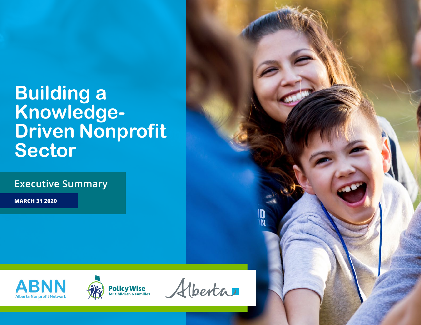# **Building a Knowledge-Driven Nonprofit Sector**

# **Executive Summary**

**MARCH 31 2020**

Д

**Alberta Nonprofit Networl** 



Hberta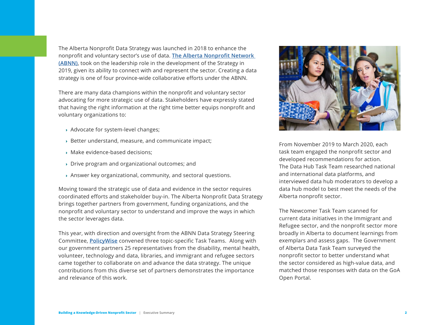The Alberta Nonprofit Data Strategy was launched in 2018 to enhance the nonprofit and voluntary sector's use of data. **[The Alberta Nonprofit Network](https://albertanonprofits.ca/)  [\(ABNN\)](https://albertanonprofits.ca/)**, took on the leadership role in the development of the Strategy in 2019, given its ability to connect with and represent the sector. Creating a data strategy is one of four province-wide collaborative efforts under the ABNN.

There are many data champions within the nonprofit and voluntary sector advocating for more strategic use of data. Stakeholders have expressly stated that having the right information at the right time better equips nonprofit and voluntary organizations to:

- **›** Advocate for system-level changes;
- **›** Better understand, measure, and communicate impact;
- **›** Make evidence-based decisions;
- **›** Drive program and organizational outcomes; and
- **›** Answer key organizational, community, and sectoral questions.

Moving toward the strategic use of data and evidence in the sector requires coordinated efforts and stakeholder buy-in. The Alberta Nonprofit Data Strategy brings together partners from government, funding organizations, and the nonprofit and voluntary sector to understand and improve the ways in which the sector leverages data.

This year, with direction and oversight from the ABNN Data Strategy Steering Committee, **[PolicyWise](https://policywise.com/)** convened three topic-specific Task Teams. Along with our government partners 25 representatives from the disability, mental health, volunteer, technology and data, libraries, and immigrant and refugee sectors came together to collaborate on and advance the data strategy. The unique contributions from this diverse set of partners demonstrates the importance and relevance of this work.



From November 2019 to March 2020, each task team engaged the nonprofit sector and developed recommendations for action. The Data Hub Task Team researched national and international data platforms, and interviewed data hub moderators to develop a data hub model to best meet the needs of the Alberta nonprofit sector.

The Newcomer Task Team scanned for current data initiatives in the Immigrant and Refugee sector, and the nonprofit sector more broadly in Alberta to document learnings from exemplars and assess gaps. The Government of Alberta Data Task Team surveyed the nonprofit sector to better understand what the sector considered as high-value data, and matched those responses with data on the GoA Open Portal.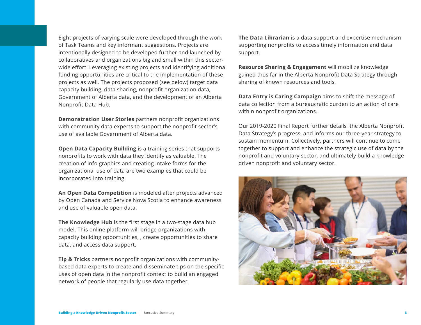Eight projects of varying scale were developed through the work of Task Teams and key informant suggestions. Projects are intentionally designed to be developed further and launched by collaboratives and organizations big and small within this sectorwide effort. Leveraging existing projects and identifying additional funding opportunities are critical to the implementation of these projects as well. The projects proposed (see below) target data capacity building, data sharing, nonprofit organization data, Government of Alberta data, and the development of an Alberta Nonprofit Data Hub.

**Demonstration User Stories** partners nonprofit organizations with community data experts to support the nonprofit sector's use of available Government of Alberta data.

**Open Data Capacity Building** is a training series that supports nonprofits to work with data they identify as valuable. The creation of info graphics and creating intake forms for the organizational use of data are two examples that could be incorporated into training.

**An Open Data Competition** is modeled after projects advanced by Open Canada and Service Nova Scotia to enhance awareness and use of valuable open data.

**The Knowledge Hub** is the first stage in a two-stage data hub model. This online platform will bridge organizations with capacity building opportunities, , create opportunities to share data, and access data support.

**Tip & Tricks** partners nonprofit organizations with communitybased data experts to create and disseminate tips on the specific uses of open data in the nonprofit context to build an engaged network of people that regularly use data together.

**The Data Librarian** is a data support and expertise mechanism supporting nonprofits to access timely information and data support.

**Resource Sharing & Engagement** will mobilize knowledge gained thus far in the Alberta Nonprofit Data Strategy through sharing of known resources and tools.

**Data Entry is Caring Campaign** aims to shift the message of data collection from a bureaucratic burden to an action of care within nonprofit organizations.

Our 2019-2020 Final Report further details the Alberta Nonprofit Data Strategy's progress, and informs our three-year strategy to sustain momentum. Collectively, partners will continue to come together to support and enhance the strategic use of data by the nonprofit and voluntary sector, and ultimately build a knowledgedriven nonprofit and voluntary sector.